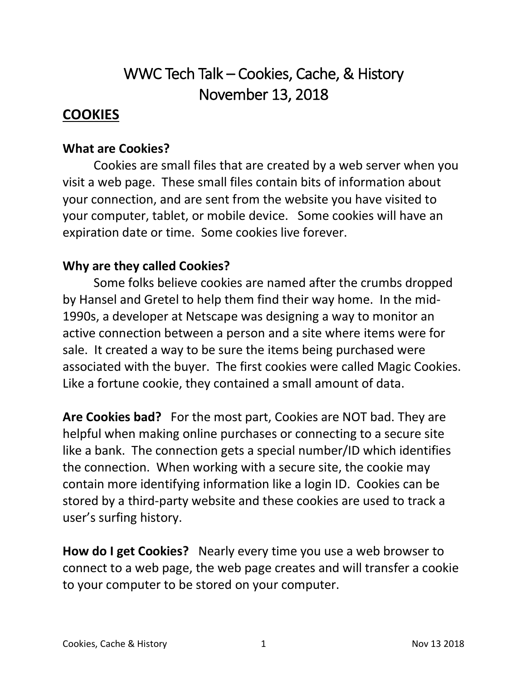# WWC Tech Talk – Cookies, Cache, & History November 13, 2018

#### **COOKIES**

#### **What are Cookies?**

Cookies are small files that are created by a web server when you visit a web page. These small files contain bits of information about your connection, and are sent from the website you have visited to your computer, tablet, or mobile device. Some cookies will have an expiration date or time. Some cookies live forever.

#### **Why are they called Cookies?**

Some folks believe cookies are named after the crumbs dropped by Hansel and Gretel to help them find their way home. In the mid-1990s, a developer at Netscape was designing a way to monitor an active connection between a person and a site where items were for sale. It created a way to be sure the items being purchased were associated with the buyer. The first cookies were called Magic Cookies. Like a fortune cookie, they contained a small amount of data.

**Are Cookies bad?** For the most part, Cookies are NOT bad. They are helpful when making online purchases or connecting to a secure site like a bank. The connection gets a special number/ID which identifies the connection. When working with a secure site, the cookie may contain more identifying information like a login ID. Cookies can be stored by a third-party website and these cookies are used to track a user's surfing history.

**How do I get Cookies?** Nearly every time you use a web browser to connect to a web page, the web page creates and will transfer a cookie to your computer to be stored on your computer.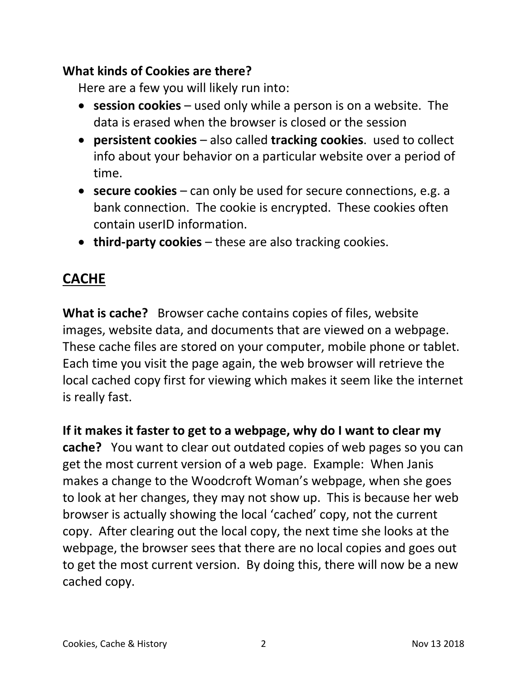#### **What kinds of Cookies are there?**

Here are a few you will likely run into:

- **session cookies** used only while a person is on a website. The data is erased when the browser is closed or the session
- **persistent cookies** also called **tracking cookies**. used to collect info about your behavior on a particular website over a period of time.
- **secure cookies** can only be used for secure connections, e.g. a bank connection. The cookie is encrypted. These cookies often contain userID information.
- **third-party cookies** these are also tracking cookies.

# **CACHE**

**What is cache?** Browser cache contains copies of files, website images, website data, and documents that are viewed on a webpage. These cache files are stored on your computer, mobile phone or tablet. Each time you visit the page again, the web browser will retrieve the local cached copy first for viewing which makes it seem like the internet is really fast.

**If it makes it faster to get to a webpage, why do I want to clear my cache?** You want to clear out outdated copies of web pages so you can get the most current version of a web page. Example: When Janis makes a change to the Woodcroft Woman's webpage, when she goes to look at her changes, they may not show up. This is because her web browser is actually showing the local 'cached' copy, not the current copy. After clearing out the local copy, the next time she looks at the webpage, the browser sees that there are no local copies and goes out to get the most current version. By doing this, there will now be a new cached copy.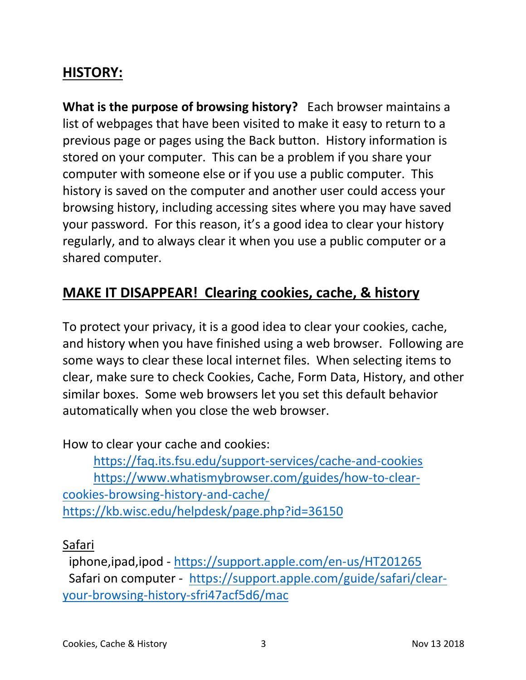# **HISTORY:**

**What is the purpose of browsing history?** Each browser maintains a list of webpages that have been visited to make it easy to return to a previous page or pages using the Back button. History information is stored on your computer. This can be a problem if you share your computer with someone else or if you use a public computer. This history is saved on the computer and another user could access your browsing history, including accessing sites where you may have saved your password. For this reason, it's a good idea to clear your history regularly, and to always clear it when you use a public computer or a shared computer.

# **MAKE IT DISAPPEAR! Clearing cookies, cache, & history**

To protect your privacy, it is a good idea to clear your cookies, cache, and history when you have finished using a web browser. Following are some ways to clear these local internet files. When selecting items to clear, make sure to check Cookies, Cache, Form Data, History, and other similar boxes. Some web browsers let you set this default behavior automatically when you close the web browser.

How to clear your cache and cookies:

https://faq.its.fsu.edu/support-services/cache-and-cookies https://www.whatismybrowser.com/guides/how-to-clearcookies-browsing-history-and-cache/ https://kb.wisc.edu/helpdesk/page.php?id=36150

Safari

 iphone,ipad,ipod - https://support.apple.com/en-us/HT201265 Safari on computer - https://support.apple.com/guide/safari/clearyour-browsing-history-sfri47acf5d6/mac